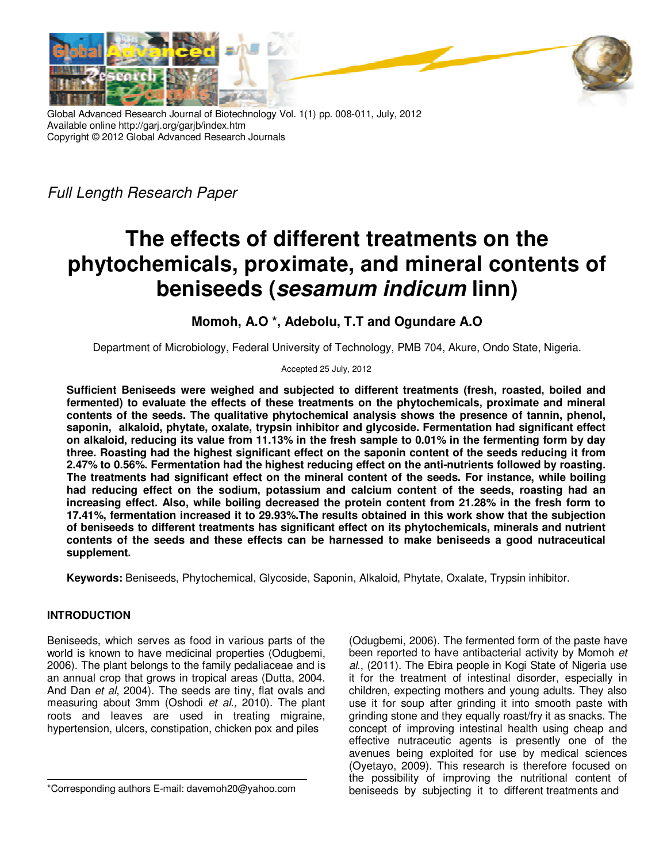



Global Advanced Research Journal of Biotechnology Vol. 1(1) pp. 008-011, July, 2012 Available online http://garj.org/garjb/index.htm Copyright © 2012 Global Advanced Research Journals

Full Length Research Paper

# **The effects of different treatments on the phytochemicals, proximate, and mineral contents of beniseeds (sesamum indicum linn)**

## **Momoh, A.O \*, Adebolu, T.T and Ogundare A.O**

Department of Microbiology, Federal University of Technology, PMB 704, Akure, Ondo State, Nigeria.

Accepted 25 July, 2012

**Sufficient Beniseeds were weighed and subjected to different treatments (fresh, roasted, boiled and fermented) to evaluate the effects of these treatments on the phytochemicals, proximate and mineral contents of the seeds. The qualitative phytochemical analysis shows the presence of tannin, phenol, saponin, alkaloid, phytate, oxalate, trypsin inhibitor and glycoside. Fermentation had significant effect on alkaloid, reducing its value from 11.13% in the fresh sample to 0.01% in the fermenting form by day three. Roasting had the highest significant effect on the saponin content of the seeds reducing it from 2.47% to 0.56%. Fermentation had the highest reducing effect on the anti-nutrients followed by roasting. The treatments had significant effect on the mineral content of the seeds. For instance, while boiling had reducing effect on the sodium, potassium and calcium content of the seeds, roasting had an increasing effect. Also, while boiling decreased the protein content from 21.28% in the fresh form to 17.41%, fermentation increased it to 29.93%.The results obtained in this work show that the subjection of beniseeds to different treatments has significant effect on its phytochemicals, minerals and nutrient contents of the seeds and these effects can be harnessed to make beniseeds a good nutraceutical supplement.** 

**Keywords:** Beniseeds, Phytochemical, Glycoside, Saponin, Alkaloid, Phytate, Oxalate, Trypsin inhibitor.

### **INTRODUCTION**

Beniseeds, which serves as food in various parts of the world is known to have medicinal properties (Odugbemi, 2006). The plant belongs to the family pedaliaceae and is an annual crop that grows in tropical areas (Dutta, 2004. And Dan et al, 2004). The seeds are tiny, flat ovals and measuring about 3mm (Oshodi et al., 2010). The plant roots and leaves are used in treating migraine, hypertension, ulcers, constipation, chicken pox and piles

(Odugbemi, 2006). The fermented form of the paste have been reported to have antibacterial activity by Momoh et al., (2011). The Ebira people in Kogi State of Nigeria use it for the treatment of intestinal disorder, especially in children, expecting mothers and young adults. They also use it for soup after grinding it into smooth paste with grinding stone and they equally roast/fry it as snacks. The concept of improving intestinal health using cheap and effective nutraceutic agents is presently one of the avenues being exploited for use by medical sciences (Oyetayo, 2009). This research is therefore focused on the possibility of improving the nutritional content of beniseeds by subjecting it to different treatments and

<sup>\*</sup>Corresponding authors E-mail: davemoh20@yahoo.com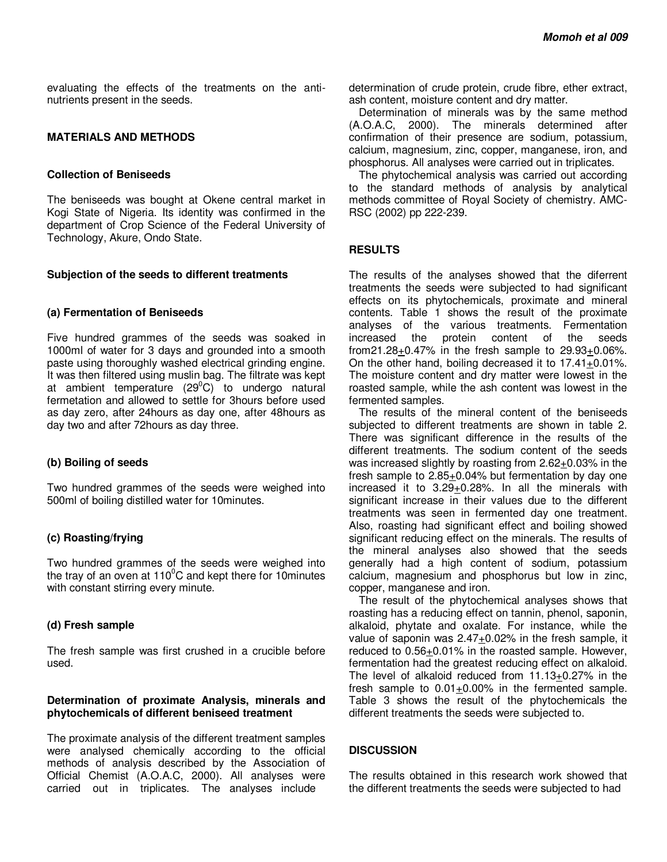evaluating the effects of the treatments on the antinutrients present in the seeds.

#### **MATERIALS AND METHODS**

#### **Collection of Beniseeds**

The beniseeds was bought at Okene central market in Kogi State of Nigeria. Its identity was confirmed in the department of Crop Science of the Federal University of Technology, Akure, Ondo State.

#### **Subjection of the seeds to different treatments**

#### **(a) Fermentation of Beniseeds**

Five hundred grammes of the seeds was soaked in 1000ml of water for 3 days and grounded into a smooth paste using thoroughly washed electrical grinding engine. It was then filtered using muslin bag. The filtrate was kept at ambient temperature  $(29^{\circ}C)$  to undergo natural fermetation and allowed to settle for 3hours before used as day zero, after 24hours as day one, after 48hours as day two and after 72hours as day three.

#### **(b) Boiling of seeds**

Two hundred grammes of the seeds were weighed into 500ml of boiling distilled water for 10minutes.

#### **(c) Roasting/frying**

Two hundred grammes of the seeds were weighed into the trav of an oven at  $110^{\circ}$ C and kept there for 10minutes with constant stirring every minute.

#### **(d) Fresh sample**

The fresh sample was first crushed in a crucible before used.

#### **Determination of proximate Analysis, minerals and phytochemicals of different beniseed treatment**

The proximate analysis of the different treatment samples were analysed chemically according to the official methods of analysis described by the Association of Official Chemist (A.O.A.C, 2000). All analyses were carried out in triplicates. The analyses include

determination of crude protein, crude fibre, ether extract, ash content, moisture content and dry matter.

Determination of minerals was by the same method (A.O.A.C, 2000). The minerals determined after confirmation of their presence are sodium, potassium, calcium, magnesium, zinc, copper, manganese, iron, and phosphorus. All analyses were carried out in triplicates.

The phytochemical analysis was carried out according to the standard methods of analysis by analytical methods committee of Royal Society of chemistry. AMC-RSC (2002) pp 222-239.

#### **RESULTS**

The results of the analyses showed that the diferrent treatments the seeds were subjected to had significant effects on its phytochemicals, proximate and mineral contents. Table 1 shows the result of the proximate analyses of the various treatments. Fermentation protein content of the seeds from21.28+0.47% in the fresh sample to 29.93+0.06%. On the other hand, boiling decreased it to  $17.41 \pm 0.01\%$ . The moisture content and dry matter were lowest in the roasted sample, while the ash content was lowest in the fermented samples.

The results of the mineral content of the beniseeds subjected to different treatments are shown in table 2. There was significant difference in the results of the different treatments. The sodium content of the seeds was increased slightly by roasting from 2.62+0.03% in the fresh sample to 2.85+0.04% but fermentation by day one increased it to 3.29+0.28%. In all the minerals with significant increase in their values due to the different treatments was seen in fermented day one treatment. Also, roasting had significant effect and boiling showed significant reducing effect on the minerals. The results of the mineral analyses also showed that the seeds generally had a high content of sodium, potassium calcium, magnesium and phosphorus but low in zinc, copper, manganese and iron.

The result of the phytochemical analyses shows that roasting has a reducing effect on tannin, phenol, saponin, alkaloid, phytate and oxalate. For instance, while the value of saponin was 2.47+0.02% in the fresh sample, it reduced to 0.56+0.01% in the roasted sample. However, fermentation had the greatest reducing effect on alkaloid. The level of alkaloid reduced from  $11.13+0.27%$  in the fresh sample to  $0.01+0.00%$  in the fermented sample. Table 3 shows the result of the phytochemicals the different treatments the seeds were subjected to.

#### **DISCUSSION**

The results obtained in this research work showed that the different treatments the seeds were subjected to had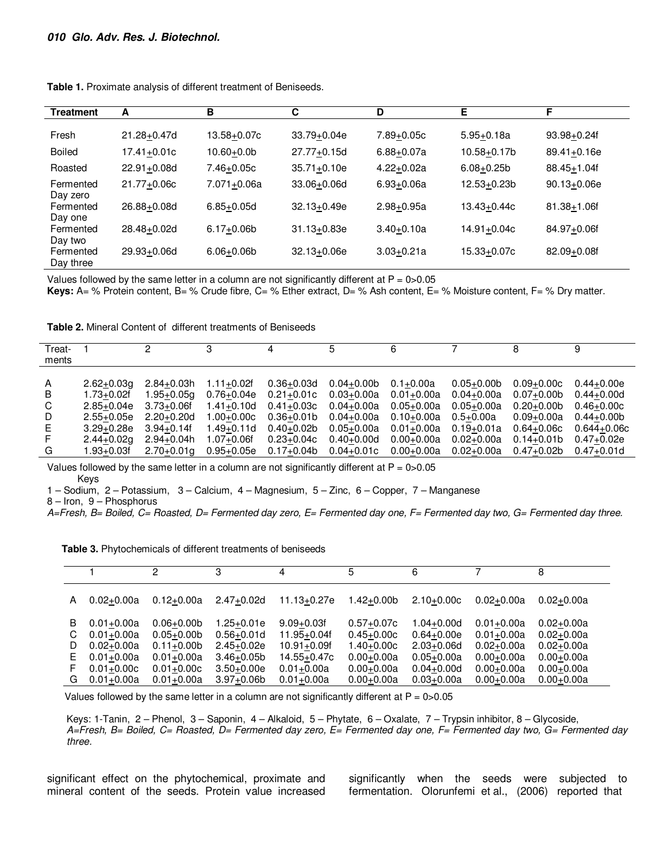| <b>Treatment</b>       | А           | в               | C               | D              | Е              | F               |
|------------------------|-------------|-----------------|-----------------|----------------|----------------|-----------------|
|                        |             |                 |                 |                |                |                 |
| Fresh                  | 21.28+0.47d | 13.58+0.07c     | 33.79+0.04e     | 7.89+0.05c     | $5.95 + 0.18a$ | 93.98+0.24f     |
| <b>Boiled</b>          | 17.41+0.01c | $10.60 + 0.0b$  | 27.77+0.15d     | $6.88 + 0.07a$ | 10.58+0.17b    | $89.41 + 0.16e$ |
| Roasted                | 22.91+0.08d | 7.46+0.05c      | $35.71 + 0.10e$ | $4.22 + 0.02a$ | $6.08 + 0.25b$ | 88.45+1.04f     |
| Fermented<br>Day zero  | 21.77+0.06c | $7.071 + 0.06a$ | 33.06+0.06d     | $6.93 + 0.06a$ | 12.53+0.23b    | $90.13 + 0.06e$ |
| Fermented<br>Day one   | 26.88+0.08d | $6.85 + 0.05d$  | $32.13 + 0.49e$ | $2.98 + 0.95a$ | 13.43+0.44c    | 81.38+1.06f     |
| Fermented<br>Day two   | 28.48+0.02d | $6.17 + 0.06b$  | $31.13 + 0.83e$ | $3.40 + 0.10a$ | 14.91+0.04c    | 84.97+0.06f     |
| Fermented<br>Day three | 29.93+0.06d | $6.06 + 0.06$   | $32.13 + 0.06e$ | $3.03 + 0.21a$ | 15.33+0.07c    | 82.09+0.08f     |

Table 1. Proximate analysis of different treatment of Beniseeds.

Values followed by the same letter in a column are not significantly different at  $P = 0$  > 0.05

Keys: A= % Protein content, B= % Crude fibre, C= % Ether extract, D= % Ash content, E= % Moisture content, F= % Dry matter.

| Treat- |                | 0              |                |                | 5              | 6              |                |                | 9               |
|--------|----------------|----------------|----------------|----------------|----------------|----------------|----------------|----------------|-----------------|
|        |                |                |                |                |                |                |                |                |                 |
| ments  |                |                |                |                |                |                |                |                |                 |
|        |                |                |                |                |                |                |                |                |                 |
| A      | $2.62 + 0.03q$ | $2.84 + 0.03h$ | $1.11+0.02f$   | $0.36 + 0.03d$ | $0.04 + 0.00$  | $0.1 + 0.00a$  | $0.05 + 0.00$  | $0.09 + 0.00c$ | $0.44 + 0.00e$  |
| B      | $1.73 + 0.02f$ | 1.95+0.05a     | $0.76 + 0.04e$ | $0.21 + 0.01c$ | $0.03 + 0.00a$ | $0.01 + 0.00a$ | $0.04 + 0.00a$ | $0.07 + 0.00$  | $0.44 + 0.00d$  |
| C      | $2.85 + 0.04e$ | $3.73 + 0.06f$ | $1.41 + 0.10d$ | $0.41 + 0.03c$ | $0.04 + 0.00a$ | $0.05 + 0.00a$ | $0.05 + 0.00a$ | $0.20 + 0.00$  | $0.46 + 0.00c$  |
| D      | $2.55+0.05e$   | $2.20 + 0.20d$ | 1.00+0.00c     | $0.36 + 0.01b$ | $0.04 + 0.00a$ | $0.10 + 0.00a$ | $0.5 + 0.00a$  | $0.09 + 0.00a$ | $0.44 + 0.00$   |
| E.     | $3.29 + 0.28e$ | $3.94 + 0.14f$ | 1.49+0.11d     | $0.40 + 0.02b$ | $0.05 + 0.00a$ | $0.01 + 0.00a$ | $0.19 + 0.01a$ | $0.64 + 0.06c$ | $0.644 + 0.06c$ |
| F.     | $2.44 + 0.02q$ | $2.94 + 0.04h$ | $1.07 + 0.06f$ | $0.23 + 0.04c$ | $0.40 + 0.00d$ | $0.00 + 0.00a$ | $0.02 + 0.00a$ | $0.14 + 0.01b$ | $0.47 + 0.02e$  |
| G      | 1.93+0.03f     | $2.70 + 0.01a$ | $0.95 + 0.05e$ | $0.17+0.04b$   | $0.04 + 0.01c$ | $0.00 + 0.00a$ | $0.02 + 0.00a$ | $0.47+0.02b$   | $0.47 + 0.01d$  |

Values followed by the same letter in a column are not significantly different at  $P = 0$  > 0.05 Keys

1 - Sodium, 2 - Potassium, 3 - Calcium, 4 - Magnesium, 5 - Zinc, 6 - Copper, 7 - Manganese

8-Iron, 9-Phosphorus

A=Fresh, B= Boiled, C= Roasted, D= Fermented day zero, E= Fermented day one, F= Fermented day two, G= Fermented day three.

|  |  |  | Table 3. Phytochemicals of different treatments of beniseeds |  |
|--|--|--|--------------------------------------------------------------|--|
|--|--|--|--------------------------------------------------------------|--|

|    |                | ົ              | 3              |                 | 5              | 6              |                | 8              |
|----|----------------|----------------|----------------|-----------------|----------------|----------------|----------------|----------------|
| A  | $0.02 + 0.00a$ | $0.12 + 0.00a$ | $2.47 + 0.02d$ | 11.13+0.27e     | 1.42+0.00b     | $2.10+0.00c$   | $0.02 + 0.00a$ | $0.02 + 0.00a$ |
| B  | $0.01 + 0.00a$ | $0.06 + 0.00$  | 1.25+0.01e     | $9.09 + 0.03f$  | $0.57 + 0.07c$ | 1.04+0.00d     | $0.01 + 0.00a$ | $0.02 + 0.00a$ |
| C  | $0.01 + 0.00a$ | $0.05 + 0.00$  | $0.56 + 0.01d$ | $11.95 + 0.04f$ | $0.45 + 0.00c$ | $0.64 + 0.00e$ | $0.01 + 0.00a$ | $0.02 + 0.00a$ |
| D  | $0.02 + 0.00a$ | $0.11+0.00b$   | $2.45 + 0.02e$ | $10.91 + 0.09f$ | $1.40 + 0.00c$ | $2.03 + 0.06d$ | $0.02 + 0.00a$ | $0.02 + 0.00a$ |
| E. | $0.01 + 0.00a$ | $0.01 + 0.00a$ | $3.46 + 0.05b$ | 14.55+0.47c     | $0.00 + 0.00a$ | $0.05 + 0.00a$ | $0.00 + 0.00a$ | $0.00 + 0.00a$ |
| F  | $0.01 + 0.00c$ | $0.01 + 0.00c$ | $3.50 + 0.00e$ | $0.01 + 0.00a$  | $0.00 + 0.00a$ | $0.04 + 0.00d$ | $0.00 + 0.00a$ | $0.00 + 0.00a$ |
| G  | $0.01 + 0.00a$ | $0.01 + 0.00a$ | $3.97 + 0.06b$ | $0.01 + 0.00a$  | $0.00 + 0.00a$ | $0.03 + 0.00a$ | $0.00 + 0.00a$ | $0.00 + 0.00a$ |

Values followed by the same letter in a column are not significantly different at  $P = 0$  > 0.05

Keys: 1-Tanin, 2 - Phenol, 3 - Saponin, 4 - Alkaloid, 5 - Phytate, 6 - Oxalate, 7 - Trypsin inhibitor, 8 - Glycoside, A=Fresh, B= Boiled, C= Roasted, D= Fermented day zero, E= Fermented day one, F= Fermented day two, G= Fermented day three.

significant effect on the phytochemical, proximate and mineral content of the seeds. Protein value increased

significantly when the seeds were subjected to fermentation. Olorunfemi et al., (2006) reported that